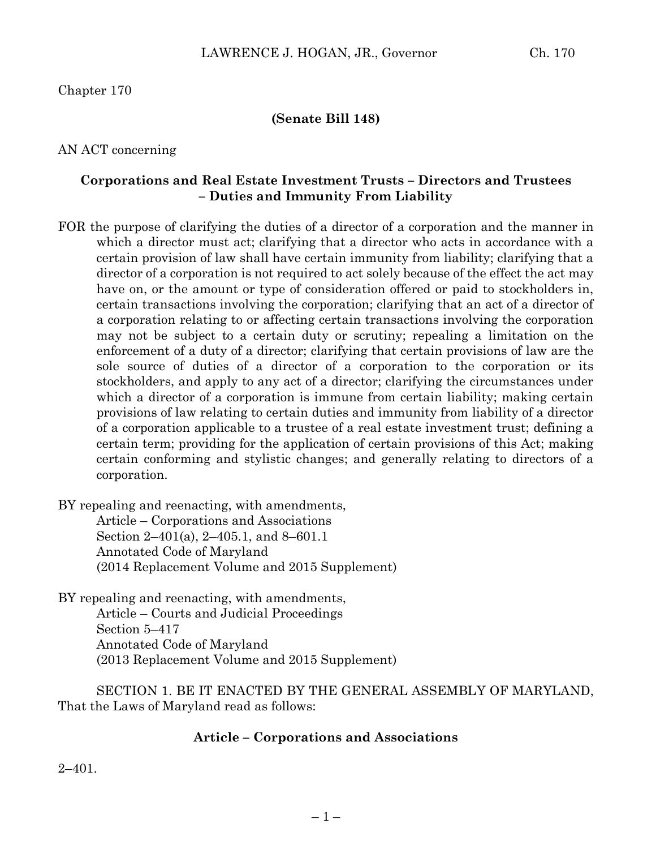Chapter 170

### **(Senate Bill 148)**

AN ACT concerning

### **Corporations and Real Estate Investment Trusts – Directors and Trustees – Duties and Immunity From Liability**

FOR the purpose of clarifying the duties of a director of a corporation and the manner in which a director must act; clarifying that a director who acts in accordance with a certain provision of law shall have certain immunity from liability; clarifying that a director of a corporation is not required to act solely because of the effect the act may have on, or the amount or type of consideration offered or paid to stockholders in, certain transactions involving the corporation; clarifying that an act of a director of a corporation relating to or affecting certain transactions involving the corporation may not be subject to a certain duty or scrutiny; repealing a limitation on the enforcement of a duty of a director; clarifying that certain provisions of law are the sole source of duties of a director of a corporation to the corporation or its stockholders, and apply to any act of a director; clarifying the circumstances under which a director of a corporation is immune from certain liability; making certain provisions of law relating to certain duties and immunity from liability of a director of a corporation applicable to a trustee of a real estate investment trust; defining a certain term; providing for the application of certain provisions of this Act; making certain conforming and stylistic changes; and generally relating to directors of a corporation.

BY repealing and reenacting, with amendments,

Article – Corporations and Associations Section 2–401(a), 2–405.1, and 8–601.1 Annotated Code of Maryland (2014 Replacement Volume and 2015 Supplement)

BY repealing and reenacting, with amendments, Article – Courts and Judicial Proceedings Section 5–417 Annotated Code of Maryland (2013 Replacement Volume and 2015 Supplement)

SECTION 1. BE IT ENACTED BY THE GENERAL ASSEMBLY OF MARYLAND, That the Laws of Maryland read as follows:

## **Article – Corporations and Associations**

2–401.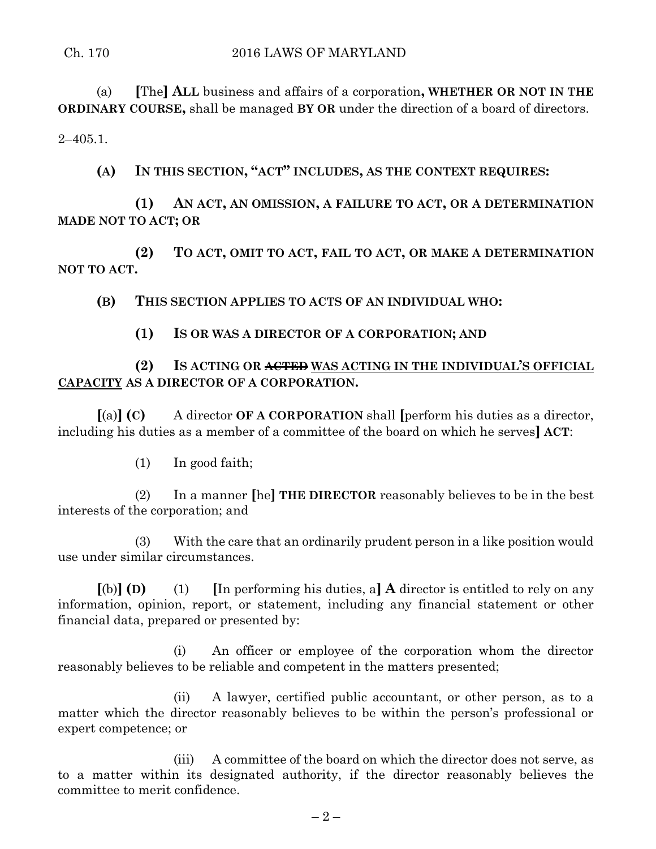(a) **[**The**] ALL** business and affairs of a corporation**, WHETHER OR NOT IN THE ORDINARY COURSE,** shall be managed **BY OR** under the direction of a board of directors.

 $2-405.1$ .

**(A) IN THIS SECTION, "ACT" INCLUDES, AS THE CONTEXT REQUIRES:**

**(1) AN ACT, AN OMISSION, A FAILURE TO ACT, OR A DETERMINATION MADE NOT TO ACT; OR** 

**(2) TO ACT, OMIT TO ACT, FAIL TO ACT, OR MAKE A DETERMINATION NOT TO ACT.**

**(B) THIS SECTION APPLIES TO ACTS OF AN INDIVIDUAL WHO:**

**(1) IS OR WAS A DIRECTOR OF A CORPORATION; AND**

**(2) IS ACTING OR ACTED WAS ACTING IN THE INDIVIDUAL'S OFFICIAL CAPACITY AS A DIRECTOR OF A CORPORATION.**

**[**(a)**] (C)** A director **OF A CORPORATION** shall **[**perform his duties as a director, including his duties as a member of a committee of the board on which he serves**] ACT**:

(1) In good faith;

(2) In a manner **[**he**] THE DIRECTOR** reasonably believes to be in the best interests of the corporation; and

(3) With the care that an ordinarily prudent person in a like position would use under similar circumstances.

 $[(b)]$  **(D)** (1) [In performing his duties, a] **A** director is entitled to rely on any information, opinion, report, or statement, including any financial statement or other financial data, prepared or presented by:

(i) An officer or employee of the corporation whom the director reasonably believes to be reliable and competent in the matters presented;

(ii) A lawyer, certified public accountant, or other person, as to a matter which the director reasonably believes to be within the person's professional or expert competence; or

(iii) A committee of the board on which the director does not serve, as to a matter within its designated authority, if the director reasonably believes the committee to merit confidence.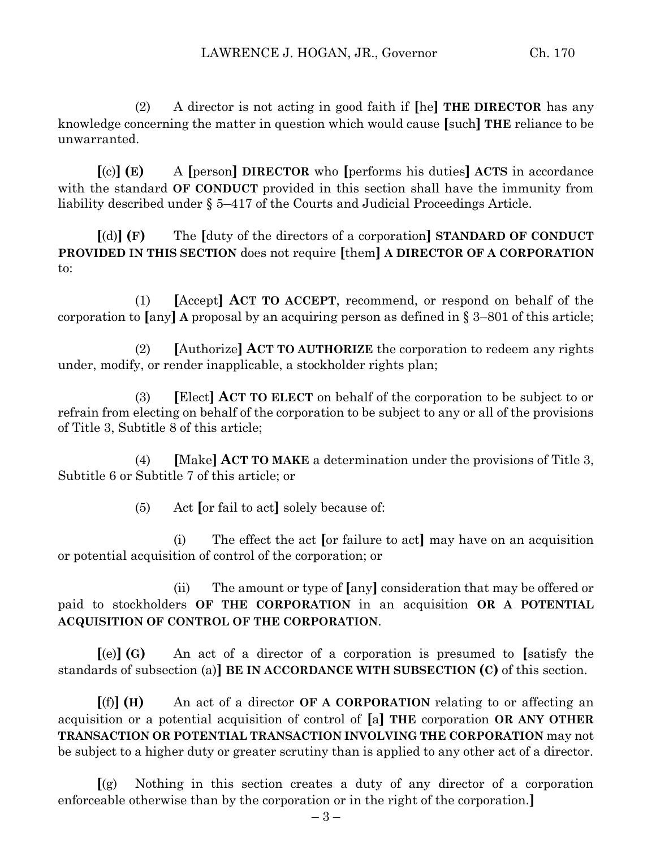(2) A director is not acting in good faith if **[**he**] THE DIRECTOR** has any knowledge concerning the matter in question which would cause **[**such**] THE** reliance to be unwarranted.

**[**(c)**] (E)** A **[**person**] DIRECTOR** who **[**performs his duties**] ACTS** in accordance with the standard **OF CONDUCT** provided in this section shall have the immunity from liability described under § 5–417 of the Courts and Judicial Proceedings Article.

**[**(d)**] (F)** The **[**duty of the directors of a corporation**] STANDARD OF CONDUCT PROVIDED IN THIS SECTION** does not require **[**them**] A DIRECTOR OF A CORPORATION** to:

(1) **[**Accept**] ACT TO ACCEPT**, recommend, or respond on behalf of the corporation to **[**any**] A** proposal by an acquiring person as defined in § 3–801 of this article;

(2) **[**Authorize**] ACT TO AUTHORIZE** the corporation to redeem any rights under, modify, or render inapplicable, a stockholder rights plan;

(3) **[**Elect**] ACT TO ELECT** on behalf of the corporation to be subject to or refrain from electing on behalf of the corporation to be subject to any or all of the provisions of Title 3, Subtitle 8 of this article;

(4) **[**Make**] ACT TO MAKE** a determination under the provisions of Title 3, Subtitle 6 or Subtitle 7 of this article; or

(5) Act **[**or fail to act**]** solely because of:

(i) The effect the act **[**or failure to act**]** may have on an acquisition or potential acquisition of control of the corporation; or

(ii) The amount or type of **[**any**]** consideration that may be offered or paid to stockholders **OF THE CORPORATION** in an acquisition **OR A POTENTIAL ACQUISITION OF CONTROL OF THE CORPORATION**.

**[**(e)**] (G)** An act of a director of a corporation is presumed to **[**satisfy the standards of subsection (a)**] BE IN ACCORDANCE WITH SUBSECTION (C)** of this section.

**[**(f)**] (H)** An act of a director **OF A CORPORATION** relating to or affecting an acquisition or a potential acquisition of control of **[**a**] THE** corporation **OR ANY OTHER TRANSACTION OR POTENTIAL TRANSACTION INVOLVING THE CORPORATION** may not be subject to a higher duty or greater scrutiny than is applied to any other act of a director.

**[**(g) Nothing in this section creates a duty of any director of a corporation enforceable otherwise than by the corporation or in the right of the corporation.**]**